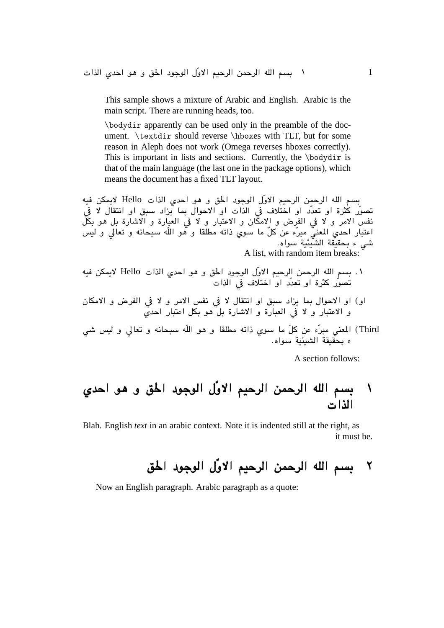This sample shows a mixture of Arabic and English. Arabic is the main script. There are running heads, too.

\bodydir apparently can be used only in the preamble of the document. \textdir should reverse \hboxes with TLT, but for some reason in Aleph does not work (Omega reverses hboxes correctly). This is important in lists and sections. Currently, the \bodydir is that of the main language (the last one in the package options), which means the document has a fixed TLT layout.

بسم الله الرحمن الرحيم الاوّل الوجود الحق و هو احدي الذات Hello لايمكن فيه<br>تصوّر كثرة او تعدّد او اختلاف في الذات او الاحوال بما يزاد سبق او انتقال لا في<br>نفس الامر و لا في الفرض و الامكان و الاعتبار و لا في العبارة و الاش شيِّ ء بحقيقة الشَّيِّئيةُ سواه.<br>A list, with random item breaks:

- ٠. بسم الله الرحمن الرحيم الاوِّل الوجود الحق و هو احدي الذات Hello لايمكن فيه<br>تصوِّر كثرة او تعدِّد او اختلاف في الذات
- او) او الاحوال بما يزاد سبق او انتقال لا في نفس الامر و لا في الفرض و الامكان<br>و الاعتبار و لا في العبارة و الاشارة بل هو بكل اعتبار احدي
- Third) المعني مبرّء عن كلّ ما سوي ذاته مطلقا و هو اللّه سبحانه و تعالي و ليس شي<br>ء بحقيقة الشيئية سواه.

A section follows:

Blah. English text in an arabic context. Note it is indented still at the right, as it must be.

Now an English paragraph. Arabic paragraph as a quote: